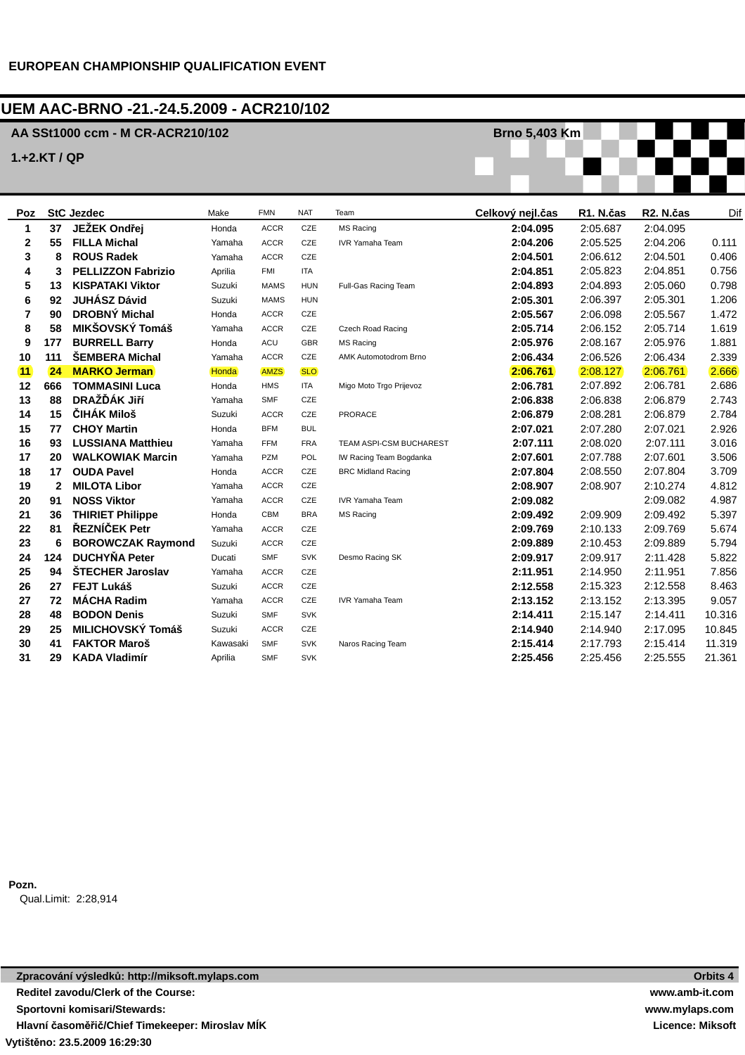## **UEM AAC-BRNO -21.-24.5.2009 - ACR210/102**

## **AA SSt1000 ccm - M CR-ACR210/102**

**1.+2.KT / QP**

| Poz            |              | <b>StC Jezdec</b>         | Make     | <b>FMN</b>  | <b>NAT</b> | Team                      | Celkový nejl.čas | R1. N.čas | R2. N.čas | Dif    |
|----------------|--------------|---------------------------|----------|-------------|------------|---------------------------|------------------|-----------|-----------|--------|
| 1              | 37           | JEŽEK Ondřej              | Honda    | <b>ACCR</b> | CZE        | MS Racing                 | 2:04.095         | 2:05.687  | 2:04.095  |        |
| 2              | 55           | <b>FILLA Michal</b>       | Yamaha   | <b>ACCR</b> | CZE        | <b>IVR Yamaha Team</b>    | 2:04.206         | 2:05.525  | 2:04.206  | 0.111  |
| 3              | 8            | <b>ROUS Radek</b>         | Yamaha   | <b>ACCR</b> | CZE        |                           | 2:04.501         | 2:06.612  | 2:04.501  | 0.406  |
| 4              | 3            | <b>PELLIZZON Fabrizio</b> | Aprilia  | <b>FMI</b>  | <b>ITA</b> |                           | 2:04.851         | 2:05.823  | 2:04.851  | 0.756  |
| 5              | 13           | <b>KISPATAKI Viktor</b>   | Suzuki   | <b>MAMS</b> | <b>HUN</b> | Full-Gas Racing Team      | 2:04.893         | 2:04.893  | 2:05.060  | 0.798  |
| 6              | 92           | <b>JUHÁSZ Dávid</b>       | Suzuki   | <b>MAMS</b> | <b>HUN</b> |                           | 2:05.301         | 2:06.397  | 2:05.301  | 1.206  |
| $\overline{7}$ | 90           | <b>DROBNÝ Michal</b>      | Honda    | <b>ACCR</b> | CZE        |                           | 2:05.567         | 2:06.098  | 2:05.567  | 1.472  |
| 8              | 58           | MIKŠOVSKÝ Tomáš           | Yamaha   | <b>ACCR</b> | CZE        | Czech Road Racing         | 2:05.714         | 2:06.152  | 2:05.714  | 1.619  |
| 9              | 177          | <b>BURRELL Barry</b>      | Honda    | ACU         | <b>GBR</b> | <b>MS Racing</b>          | 2:05.976         | 2:08.167  | 2:05.976  | 1.881  |
| 10             | 111          | <b>SEMBERA Michal</b>     | Yamaha   | <b>ACCR</b> | CZE        | AMK Automotodrom Brno     | 2:06.434         | 2:06.526  | 2:06.434  | 2.339  |
| (11)           | 24           | <b>MARKO Jerman</b>       | Honda    | <b>AMZS</b> | SLO)       |                           | 2:06.761         | 2:08.127  | 2:06.761  | 2.666  |
| 12             | 666          | <b>TOMMASINI Luca</b>     | Honda    | <b>HMS</b>  | <b>ITA</b> | Migo Moto Trgo Prijevoz   | 2:06.781         | 2:07.892  | 2:06.781  | 2.686  |
| 13             | 88           | DRAŽĎÁK Jiří              | Yamaha   | <b>SMF</b>  | CZE        |                           | 2:06.838         | 2:06.838  | 2:06.879  | 2.743  |
| 14             | 15           | ČIHÁK Miloš               | Suzuki   | <b>ACCR</b> | CZE        | <b>PRORACE</b>            | 2:06.879         | 2:08.281  | 2:06.879  | 2.784  |
| 15             | 77           | <b>CHOY Martin</b>        | Honda    | <b>BFM</b>  | <b>BUL</b> |                           | 2:07.021         | 2:07.280  | 2:07.021  | 2.926  |
| 16             | 93           | <b>LUSSIANA Matthieu</b>  | Yamaha   | <b>FFM</b>  | <b>FRA</b> | TEAM ASPI-CSM BUCHAREST   | 2:07.111         | 2:08.020  | 2:07.111  | 3.016  |
| 17             | 20           | <b>WALKOWIAK Marcin</b>   | Yamaha   | PZM         | POL        | IW Racing Team Bogdanka   | 2:07.601         | 2:07.788  | 2:07.601  | 3.506  |
| 18             | 17           | <b>OUDA Pavel</b>         | Honda    | <b>ACCR</b> | CZE        | <b>BRC Midland Racing</b> | 2:07.804         | 2:08.550  | 2:07.804  | 3.709  |
| 19             | $\mathbf{2}$ | <b>MILOTA Libor</b>       | Yamaha   | <b>ACCR</b> | CZE        |                           | 2:08.907         | 2:08.907  | 2:10.274  | 4.812  |
| 20             | 91           | <b>NOSS Viktor</b>        | Yamaha   | <b>ACCR</b> | CZE        | <b>IVR Yamaha Team</b>    | 2:09.082         |           | 2:09.082  | 4.987  |
| 21             | 36           | <b>THIRIET Philippe</b>   | Honda    | CBM         | <b>BRA</b> | <b>MS Racing</b>          | 2:09.492         | 2:09.909  | 2:09.492  | 5.397  |
| 22             | 81           | ŘEZNÍČEK Petr             | Yamaha   | <b>ACCR</b> | <b>CZE</b> |                           | 2:09.769         | 2:10.133  | 2:09.769  | 5.674  |
| 23             | 6            | <b>BOROWCZAK Raymond</b>  | Suzuki   | <b>ACCR</b> | CZE        |                           | 2:09.889         | 2:10.453  | 2:09.889  | 5.794  |
| 24             | 124          | <b>DUCHYŇA Peter</b>      | Ducati   | <b>SMF</b>  | <b>SVK</b> | Desmo Racing SK           | 2:09.917         | 2:09.917  | 2:11.428  | 5.822  |
| 25             | 94           | ŠTECHER Jaroslav          | Yamaha   | <b>ACCR</b> | CZE        |                           | 2:11.951         | 2:14.950  | 2:11.951  | 7.856  |
| 26             | 27           | <b>FEJT Lukáš</b>         | Suzuki   | <b>ACCR</b> | CZE        |                           | 2:12.558         | 2:15.323  | 2:12.558  | 8.463  |
| 27             | 72           | <b>MÁCHA Radim</b>        | Yamaha   | <b>ACCR</b> | CZE        | <b>IVR Yamaha Team</b>    | 2:13.152         | 2:13.152  | 2:13.395  | 9.057  |
| 28             | 48           | <b>BODON Denis</b>        | Suzuki   | <b>SMF</b>  | <b>SVK</b> |                           | 2:14.411         | 2:15.147  | 2:14.411  | 10.316 |
| 29             | 25           | <b>MILICHOVSKÝ Tomáš</b>  | Suzuki   | <b>ACCR</b> | CZE        |                           | 2:14.940         | 2:14.940  | 2:17.095  | 10.845 |
| 30             | 41           | <b>FAKTOR Maroš</b>       | Kawasaki | <b>SMF</b>  | <b>SVK</b> | Naros Racing Team         | 2:15.414         | 2:17.793  | 2:15.414  | 11.319 |
| 31             | 29           | <b>KADA Vladimír</b>      | Aprilia  | <b>SMF</b>  | <b>SVK</b> |                           | 2:25.456         | 2:25.456  | 2:25.555  | 21.361 |

**Brno 5,403 Km**

**Pozn.** Qual.Limit: 2:28,914

**Vytišt**ě**no: 23.5.2009 16:29:30 Zpracování výsledk**ů**: http://miksoft.mylaps.com Reditel zavodu/Clerk of the Course: Sportovni komisari/Stewards: Hlavní** č**asom**ěř**i**č**/Chief Timekeeper: Miroslav MÍK**

**Orbits 4 www.amb-it.com www.mylaps.com Licence: Miksoft**